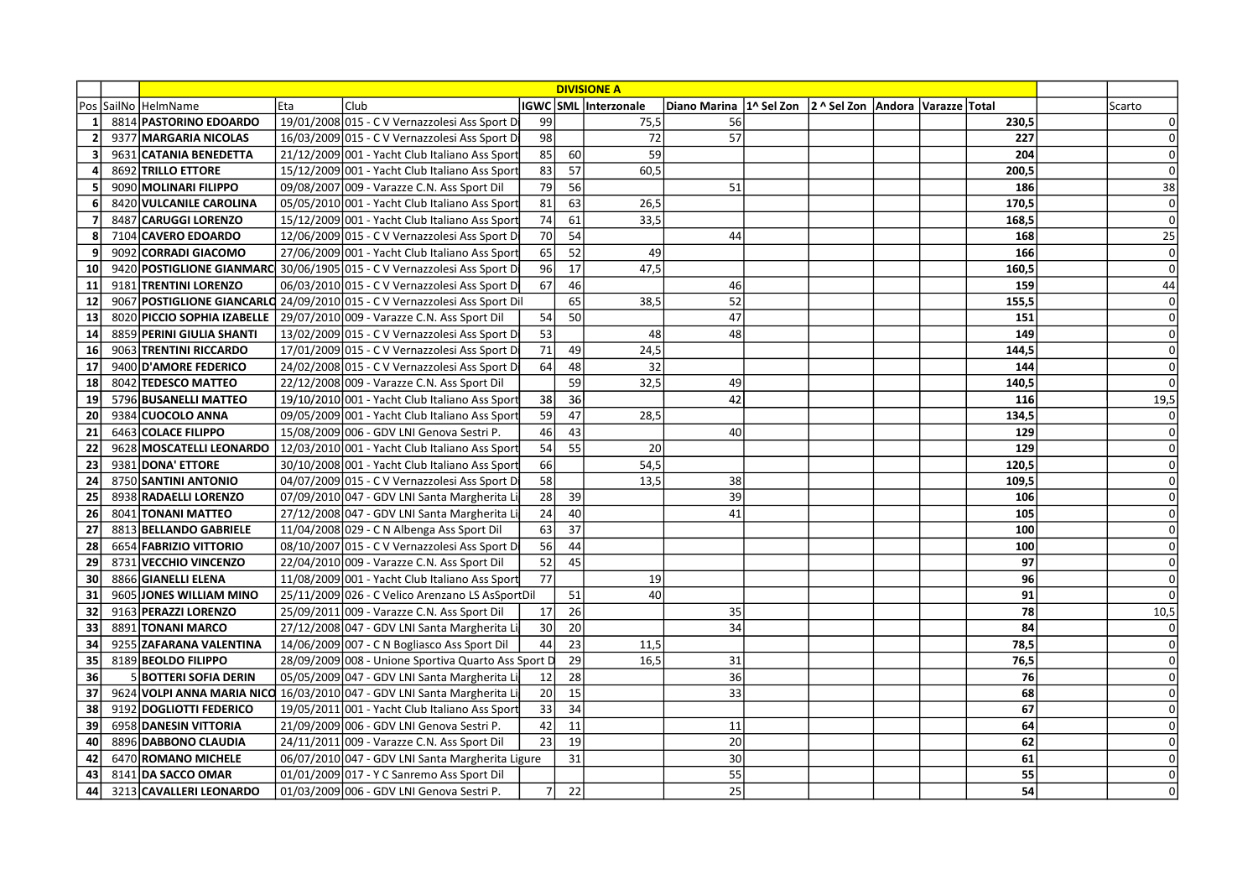|                | <b>DIVISIONE A</b>        |     |                                                                            |                 |                 |                      |                                                                    |  |  |  |       |        |
|----------------|---------------------------|-----|----------------------------------------------------------------------------|-----------------|-----------------|----------------------|--------------------------------------------------------------------|--|--|--|-------|--------|
|                | Pos SailNo HelmName       | Eta | Club                                                                       |                 |                 | IGWC SML Interzonale | Diano Marina   1^ Sel Zon   2 ^ Sel Zon   Andora   Varazze   Total |  |  |  |       | Scarto |
| 1              | 8814 PASTORINO EDOARDO    |     | 19/01/2008 015 - C V Vernazzolesi Ass Sport D                              | 99              |                 | 75,5                 | 56                                                                 |  |  |  | 230,5 | 0      |
| $\overline{2}$ | 9377 MARGARIA NICOLAS     |     | 16/03/2009 015 - C V Vernazzolesi Ass Sport Di                             | 98              |                 | 72                   | 57                                                                 |  |  |  | 227   | 0      |
| 3              | 9631 CATANIA BENEDETTA    |     | 21/12/2009 001 - Yacht Club Italiano Ass Sport                             | 85              | 60              | 59                   |                                                                    |  |  |  | 204   | 0      |
| Δ              | 8692 TRILLO ETTORE        |     | 15/12/2009 001 - Yacht Club Italiano Ass Sport                             | 83              | 57              | 60,5                 |                                                                    |  |  |  | 200,5 | 0      |
| 5              | 9090 MOLINARI FILIPPO     |     | 09/08/2007 009 - Varazze C.N. Ass Sport Dil                                | 79              | 56              |                      | 51                                                                 |  |  |  | 186   | 38     |
| 6              | 8420 VULCANILE CAROLINA   |     | 05/05/2010 001 - Yacht Club Italiano Ass Sport                             | 81              | 63              | 26,5                 |                                                                    |  |  |  | 170,5 | 0      |
| $\overline{7}$ | 8487 CARUGGI LORENZO      |     | 15/12/2009 001 - Yacht Club Italiano Ass Sport                             | 74              | 61              | 33,5                 |                                                                    |  |  |  | 168,5 | 0      |
| 8              | 7104 CAVERO EDOARDO       |     | 12/06/2009 015 - C V Vernazzolesi Ass Sport Di                             | 70              | 54              |                      | 44                                                                 |  |  |  | 168   | 25     |
| 9              | 9092 CORRADI GIACOMO      |     | 27/06/2009 001 - Yacht Club Italiano Ass Sport                             | 65              | 52              | 49                   |                                                                    |  |  |  | 166   | 0      |
| 10             |                           |     | 9420 POSTIGLIONE GIANMARC 30/06/1905 015 - C V Vernazzolesi Ass Sport Di   | 96              | 17              | 47,5                 |                                                                    |  |  |  | 160,5 | 0      |
| 11             | 9181 TRENTINI LORENZO     |     | 06/03/2010 015 - C V Vernazzolesi Ass Sport Di                             | 67              | 46              |                      | 46                                                                 |  |  |  | 159   | 44     |
| 12             |                           |     | 9067 POSTIGLIONE GIANCARLO 24/09/2010 015 - C V Vernazzolesi Ass Sport Dil |                 | 65              | 38,5                 | 52                                                                 |  |  |  | 155,5 | 0      |
| 13             |                           |     | 8020 PICCIO SOPHIA IZABELLE   29/07/2010 009 - Varazze C.N. Ass Sport Dil  | 54              | 50              |                      | 47                                                                 |  |  |  | 151   | 0      |
| 14             | 8859 PERINI GIULIA SHANTI |     | 13/02/2009 015 - C V Vernazzolesi Ass Sport D                              | 53              |                 | 48                   | 48                                                                 |  |  |  | 149   | 0      |
| 16             | 9063 TRENTINI RICCARDO    |     | 17/01/2009 015 - C V Vernazzolesi Ass Sport Di                             | 71              | 49              | 24,5                 |                                                                    |  |  |  | 144,5 | 0      |
| 17             | 9400 D'AMORE FEDERICO     |     | 24/02/2008 015 - C V Vernazzolesi Ass Sport Di                             | 64              | 48              | $\overline{32}$      |                                                                    |  |  |  | 144   | 0      |
| 18             | 8042 TEDESCO MATTEO       |     | 22/12/2008 009 - Varazze C.N. Ass Sport Dil                                |                 | 59              | 32,5                 | 49                                                                 |  |  |  | 140,5 | 0      |
| 19             | 5796 BUSANELLI MATTEO     |     | 19/10/2010 001 - Yacht Club Italiano Ass Sport                             | 38              | 36              |                      | 42                                                                 |  |  |  | 116   | 19,5   |
| 20             | 9384 CUOCOLO ANNA         |     | 09/05/2009 001 - Yacht Club Italiano Ass Sport                             | 59              | 47              | 28,5                 |                                                                    |  |  |  | 134,5 | 0      |
| 21             | 6463 COLACE FILIPPO       |     | 15/08/2009 006 - GDV LNI Genova Sestri P.                                  | 46              | 43              |                      | 40                                                                 |  |  |  | 129   | 0      |
| 22             | 9628 MOSCATELLI LEONARDO  |     | 12/03/2010 001 - Yacht Club Italiano Ass Sport                             | 54              | 55              | 20                   |                                                                    |  |  |  | 129   | 0      |
| 23             | 9381 DONA' ETTORE         |     | 30/10/2008 001 - Yacht Club Italiano Ass Sport                             | 66              |                 | 54,5                 |                                                                    |  |  |  | 120,5 | 0      |
| 24             | 8750 SANTINI ANTONIO      |     | 04/07/2009 015 - C V Vernazzolesi Ass Sport Di                             | 58              |                 | 13,5                 | 38                                                                 |  |  |  | 109,5 | 0      |
| 25             | 8938 RADAELLI LORENZO     |     | 07/09/2010 047 - GDV LNI Santa Margherita Li                               | 28              | 39              |                      | 39                                                                 |  |  |  | 106   | 0      |
| 26             | 8041 TONANI MATTEO        |     | 27/12/2008 047 - GDV LNI Santa Margherita Li                               | 24              | 40              |                      | 41                                                                 |  |  |  | 105   | 0      |
| 27             | 8813 BELLANDO GABRIELE    |     | 11/04/2008 029 - C N Albenga Ass Sport Dil                                 | 63              | 37              |                      |                                                                    |  |  |  | 100   | 0      |
| 28             | 6654 FABRIZIO VITTORIO    |     | 08/10/2007 015 - C V Vernazzolesi Ass Sport Di                             | 56              | 44              |                      |                                                                    |  |  |  | 100   | 0      |
| 29             | 8731 VECCHIO VINCENZO     |     | 22/04/2010 009 - Varazze C.N. Ass Sport Dil                                | 52              | 45              |                      |                                                                    |  |  |  | 97    | 0      |
| 30             | 8866 GIANELLI ELENA       |     | 11/08/2009 001 - Yacht Club Italiano Ass Sport                             | 77              |                 | 19                   |                                                                    |  |  |  | 96    | 0      |
| 31             | 9605 JONES WILLIAM MINO   |     | 25/11/2009 026 - C Velico Arenzano LS AsSportDil                           |                 | 51              | 40                   |                                                                    |  |  |  | 91    | 0      |
| 32             | 9163 PERAZZI LORENZO      |     | 25/09/2011 009 - Varazze C.N. Ass Sport Dil                                | 17              | $\overline{26}$ |                      | 35                                                                 |  |  |  | 78    | 10,5   |
| 33             | 8891 TONANI MARCO         |     | 27/12/2008 047 - GDV LNI Santa Margherita Li                               | 30 <sup>1</sup> | 20              |                      | $\overline{34}$                                                    |  |  |  | 84    | 0      |
| 34             | 9255 ZAFARANA VALENTINA   |     | 14/06/2009 007 - C N Bogliasco Ass Sport Dil                               | 44              | 23              | 11,5                 |                                                                    |  |  |  | 78,5  | 0      |
| 35             | 8189 BEOLDO FILIPPO       |     | 28/09/2009 008 - Unione Sportiva Quarto Ass Sport D                        |                 | 29              | 16,5                 | 31                                                                 |  |  |  | 76,5  | 0      |
| 36             | 5 BOTTERI SOFIA DERIN     |     | 05/05/2009 047 - GDV LNI Santa Margherita Li                               | 12              | 28              |                      | 36                                                                 |  |  |  | 76    | 0      |
| 37             |                           |     | 9624 VOLPI ANNA MARIA NICO 16/03/2010 047 - GDV LNI Santa Margherita Li    | 20              | 15              |                      | 33                                                                 |  |  |  | 68    | 0      |
| 38             | 9192 DOGLIOTTI FEDERICO   |     | 19/05/2011 001 - Yacht Club Italiano Ass Sport                             | 33              | 34              |                      |                                                                    |  |  |  | 67    | 0      |
| 39             | 6958 DANESIN VITTORIA     |     | 21/09/2009 006 - GDV LNI Genova Sestri P.                                  | 42              | 11              |                      | 11                                                                 |  |  |  | 64    | 0      |
| 40             | 8896 DABBONO CLAUDIA      |     | 24/11/2011 009 - Varazze C.N. Ass Sport Dil                                | 23              | 19              |                      | 20                                                                 |  |  |  | 62    | 0      |
| 42             | 6470 ROMANO MICHELE       |     | 06/07/2010 047 - GDV LNI Santa Margherita Ligure                           |                 | 31              |                      | 30                                                                 |  |  |  | 61    | 0      |
| 43             | 8141 DA SACCO OMAR        |     | 01/01/2009 017 - Y C Sanremo Ass Sport Dil                                 |                 |                 |                      | 55                                                                 |  |  |  | 55    | 0l     |
| 44             | 3213 CAVALLERI LEONARDO   |     | 01/03/2009 006 - GDV LNI Genova Sestri P.                                  | 71              | 22              |                      | 25                                                                 |  |  |  | 54    | 0      |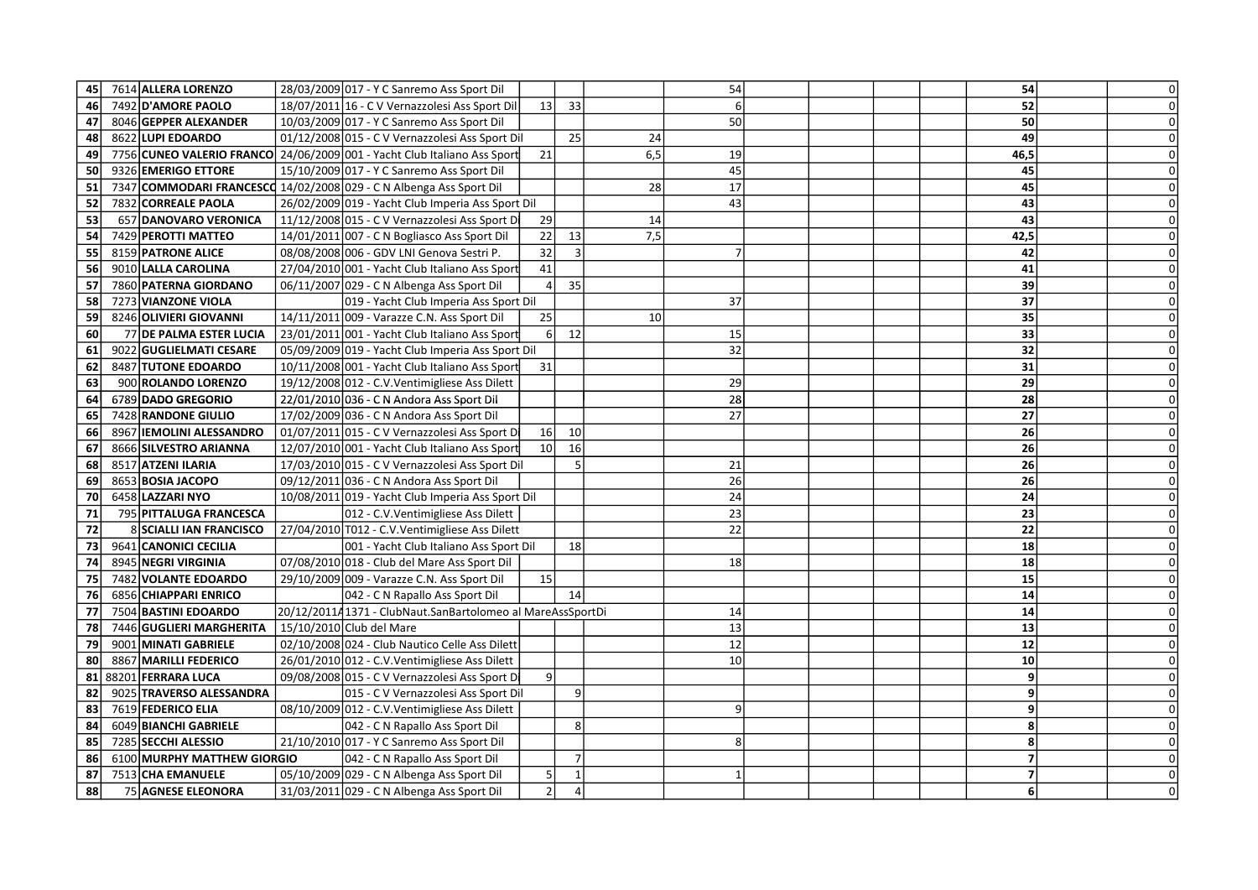| 45 | 7614 ALLERA LORENZO                                                 |  | 28/03/2009 017 - Y C Sanremo Ass Sport Dil                                            |                      |                |      | 54       |  | 54       | 0l             |
|----|---------------------------------------------------------------------|--|---------------------------------------------------------------------------------------|----------------------|----------------|------|----------|--|----------|----------------|
| 46 | 7492 D'AMORE PAOLO                                                  |  | 18/07/2011 16 - C V Vernazzolesi Ass Sport Dil                                        | 13                   | 33             |      |          |  | 52       | $\Omega$       |
| 47 | 8046 GEPPER ALEXANDER                                               |  | 10/03/2009 017 - Y C Sanremo Ass Sport Dil                                            |                      |                |      | 50       |  | 50       | $\Omega$       |
| 48 | 8622 LUPI EDOARDO                                                   |  | 01/12/2008 015 - C V Vernazzolesi Ass Sport Dil                                       |                      | 25             | 24   |          |  | 49       | $\Omega$       |
| 49 |                                                                     |  | 7756 CUNEO VALERIO FRANCO 24/06/2009 001 - Yacht Club Italiano Ass Sport              | 21                   |                | 6, 5 | 19       |  | 46,5     | $\Omega$       |
| 50 | 9326 EMERIGO ETTORE                                                 |  | 15/10/2009 017 - Y C Sanremo Ass Sport Dil                                            |                      |                |      | 45       |  | 45       | $\Omega$       |
| 51 | 7347 COMMODARI FRANCESCO 14/02/2008 029 - C N Albenga Ass Sport Dil |  |                                                                                       |                      |                | 28   | 17       |  | 45       | $\Omega$       |
| 52 | 7832 CORREALE PAOLA                                                 |  | 26/02/2009 019 - Yacht Club Imperia Ass Sport Dil                                     |                      |                |      | 43       |  | 43       |                |
| 53 | 657 DANOVARO VERONICA                                               |  | 11/12/2008 015 - C V Vernazzolesi Ass Sport Di                                        | 29                   |                | 14   |          |  | 43       | $\Omega$       |
| 54 | 7429 PEROTTI MATTEO                                                 |  | 14/01/2011 007 - C N Bogliasco Ass Sport Dil                                          | 22                   | 13             | 7,5  |          |  | 42,5     | $\Omega$       |
| 55 | 8159 PATRONE ALICE                                                  |  | 08/08/2008 006 - GDV LNI Genova Sestri P.                                             | 32                   | 3              |      |          |  | 42       |                |
| 56 | 9010 LALLA CAROLINA                                                 |  | 27/04/2010 001 - Yacht Club Italiano Ass Sport                                        | 41                   |                |      |          |  | 41       | $\Omega$       |
| 57 | 7860 PATERNA GIORDANO                                               |  | 06/11/2007 029 - C N Albenga Ass Sport Dil                                            |                      | 35             |      |          |  | 39       |                |
| 58 | 7273 VIANZONE VIOLA                                                 |  |                                                                                       |                      |                |      | 37       |  | 37       | $\Omega$       |
|    |                                                                     |  | 019 - Yacht Club Imperia Ass Sport Dil<br>14/11/2011 009 - Varazze C.N. Ass Sport Dil |                      |                | 10   |          |  |          |                |
| 59 | 8246 OLIVIERI GIOVANNI                                              |  |                                                                                       | 25<br>6 <sup>1</sup> | 12             |      |          |  | 35       |                |
| 60 | 77 DE PALMA ESTER LUCIA                                             |  | 23/01/2011 001 - Yacht Club Italiano Ass Sport                                        |                      |                |      | 15<br>32 |  | 33<br>32 | $\overline{0}$ |
| 61 | 9022 GUGLIELMATI CESARE                                             |  | 05/09/2009 019 - Yacht Club Imperia Ass Sport Dil                                     |                      |                |      |          |  |          |                |
| 62 | 8487 TUTONE EDOARDO                                                 |  | 10/11/2008 001 - Yacht Club Italiano Ass Sport                                        | 31                   |                |      |          |  | 31       |                |
| 63 | 900 ROLANDO LORENZO                                                 |  | 19/12/2008 012 - C.V. Ventimigliese Ass Dilett                                        |                      |                |      | 29       |  | 29       | $\Omega$       |
| 64 | 6789 DADO GREGORIO                                                  |  | 22/01/2010 036 - C N Andora Ass Sport Dil                                             |                      |                |      | 28       |  | 28       | $\Omega$       |
| 65 | 7428 RANDONE GIULIO                                                 |  | 17/02/2009 036 - C N Andora Ass Sport Dil                                             |                      |                |      | 27       |  | 27       |                |
| 66 | 8967 IEMOLINI ALESSANDRO                                            |  | 01/07/2011 015 - C V Vernazzolesi Ass Sport Di                                        | 16                   | 10             |      |          |  | 26       |                |
| 67 | 8666 SILVESTRO ARIANNA                                              |  | 12/07/2010 001 - Yacht Club Italiano Ass Sport                                        | 10                   | 16             |      |          |  | 26       |                |
| 68 | 8517 ATZENI ILARIA                                                  |  | 17/03/2010 015 - C V Vernazzolesi Ass Sport Dil                                       |                      | 5 <sub>l</sub> |      | 21       |  | 26       | $\Omega$       |
| 69 | 8653 BOSIA JACOPO                                                   |  | 09/12/2011 036 - C N Andora Ass Sport Dil                                             |                      |                |      | 26       |  | 26       | $\Omega$       |
| 70 | 6458 LAZZARI NYO                                                    |  | 10/08/2011 019 - Yacht Club Imperia Ass Sport Dil                                     |                      |                |      | 24       |  | 24       |                |
| 71 | 795 PITTALUGA FRANCESCA                                             |  | 012 - C.V. Ventimigliese Ass Dilett                                                   |                      |                |      | 23       |  | 23       | $\Omega$       |
| 72 | 8 SCIALLI IAN FRANCISCO                                             |  | 27/04/2010 T012 - C.V. Ventimigliese Ass Dilett                                       |                      |                |      | 22       |  | 22       |                |
| 73 | 9641 CANONICI CECILIA                                               |  | 001 - Yacht Club Italiano Ass Sport Dil                                               |                      | 18             |      |          |  | 18       |                |
| 74 | 8945 NEGRI VIRGINIA                                                 |  | 07/08/2010 018 - Club del Mare Ass Sport Dil                                          |                      |                |      | 18       |  | 18       |                |
| 75 | 7482 VOLANTE EDOARDO                                                |  | 29/10/2009 009 - Varazze C.N. Ass Sport Dil                                           | 15                   |                |      |          |  | 15       |                |
| 76 | 6856 CHIAPPARI ENRICO                                               |  | 042 - C N Rapallo Ass Sport Dil                                                       |                      | 14             |      |          |  | 14       |                |
| 77 | 7504 BASTINI EDOARDO                                                |  | 20/12/201141371 - ClubNaut.SanBartolomeo al MareAssSportDi                            |                      |                |      | 14       |  | 14       | $\Omega$       |
| 78 | 7446 GUGLIERI MARGHERITA                                            |  | 15/10/2010 Club del Mare                                                              |                      |                |      | 13       |  | 13       |                |
| 79 | 9001 MINATI GABRIELE                                                |  | 02/10/2008 024 - Club Nautico Celle Ass Dilett                                        |                      |                |      | 12       |  | 12       | $\Omega$       |
| 80 | 8867 MARILLI FEDERICO                                               |  | 26/01/2010 012 - C.V. Ventimigliese Ass Dilett                                        |                      |                |      | 10       |  | 10       |                |
| 81 | 88201 FERRARA LUCA                                                  |  | 09/08/2008 015 - C V Vernazzolesi Ass Sport Di                                        | 9 <sub>l</sub>       |                |      |          |  | 9        | $\Omega$       |
| 82 | 9025 TRAVERSO ALESSANDRA                                            |  | 015 - C V Vernazzolesi Ass Sport Dil                                                  |                      | 9              |      |          |  | 9        |                |
| 83 | 7619 FEDERICO ELIA                                                  |  | 08/10/2009 012 - C.V. Ventimigliese Ass Dilett                                        |                      |                |      | 9        |  | -9       |                |
| 84 | 6049 BIANCHI GABRIELE                                               |  | 042 - C N Rapallo Ass Sport Dil                                                       |                      | 8              |      |          |  | 8        | $\Omega$       |
| 85 | 7285 SECCHI ALESSIO                                                 |  | 21/10/2010 017 - Y C Sanremo Ass Sport Dil                                            |                      |                |      |          |  | Я        |                |
| 86 | 6100 MURPHY MATTHEW GIORGIO                                         |  | 042 - C N Rapallo Ass Sport Dil                                                       |                      | $\overline{7}$ |      |          |  | 7        | $\Omega$       |
| 87 | 7513 CHA EMANUELE                                                   |  | 05/10/2009 029 - C N Albenga Ass Sport Dil                                            |                      |                |      |          |  |          | $\Omega$       |
| 88 | 75 AGNESE ELEONORA                                                  |  | 31/03/2011 029 - C N Albenga Ass Sport Dil                                            | $\overline{2}$       | $\overline{4}$ |      |          |  | 6        | $\Omega$       |